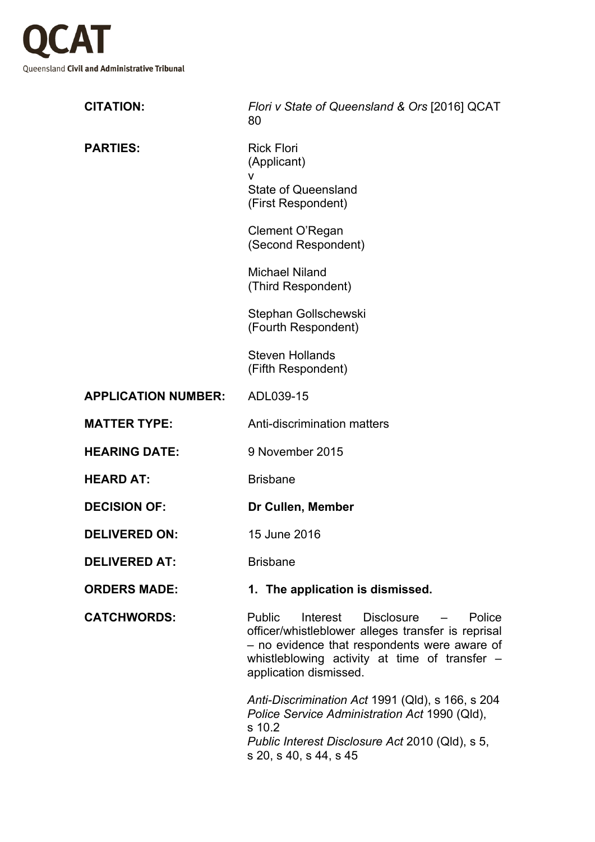

| <b>CITATION:</b>           | Flori v State of Queensland & Ors [2016] QCAT<br>80                                                                                                                                                                                   |
|----------------------------|---------------------------------------------------------------------------------------------------------------------------------------------------------------------------------------------------------------------------------------|
| <b>PARTIES:</b>            | <b>Rick Flori</b><br>(Applicant)<br>v                                                                                                                                                                                                 |
|                            | <b>State of Queensland</b><br>(First Respondent)                                                                                                                                                                                      |
|                            | Clement O'Regan<br>(Second Respondent)                                                                                                                                                                                                |
|                            | <b>Michael Niland</b><br>(Third Respondent)                                                                                                                                                                                           |
|                            | Stephan Gollschewski<br>(Fourth Respondent)                                                                                                                                                                                           |
|                            | <b>Steven Hollands</b><br>(Fifth Respondent)                                                                                                                                                                                          |
| <b>APPLICATION NUMBER:</b> | ADL039-15                                                                                                                                                                                                                             |
| <b>MATTER TYPE:</b>        | Anti-discrimination matters                                                                                                                                                                                                           |
| <b>HEARING DATE:</b>       | 9 November 2015                                                                                                                                                                                                                       |
| <b>HEARD AT:</b>           | <b>Brisbane</b>                                                                                                                                                                                                                       |
| <b>DECISION OF:</b>        | Dr Cullen, Member                                                                                                                                                                                                                     |
| <b>DELIVERED ON:</b>       | 15 June 2016                                                                                                                                                                                                                          |
| <b>DELIVERED AT:</b>       | <b>Brisbane</b>                                                                                                                                                                                                                       |
| <b>ORDERS MADE:</b>        | 1. The application is dismissed.                                                                                                                                                                                                      |
| <b>CATCHWORDS:</b>         | Public<br>Disclosure<br>Interest<br>Police<br>$\sim$<br>officer/whistleblower alleges transfer is reprisal<br>- no evidence that respondents were aware of<br>whistleblowing activity at time of transfer -<br>application dismissed. |
|                            | Anti-Discrimination Act 1991 (Qld), s 166, s 204<br>Police Service Administration Act 1990 (Qld),<br>s 10.2                                                                                                                           |

*Public Interest Disclosure Act* 2010 (Qld), s 5, s 20, s 40, s 44, s 45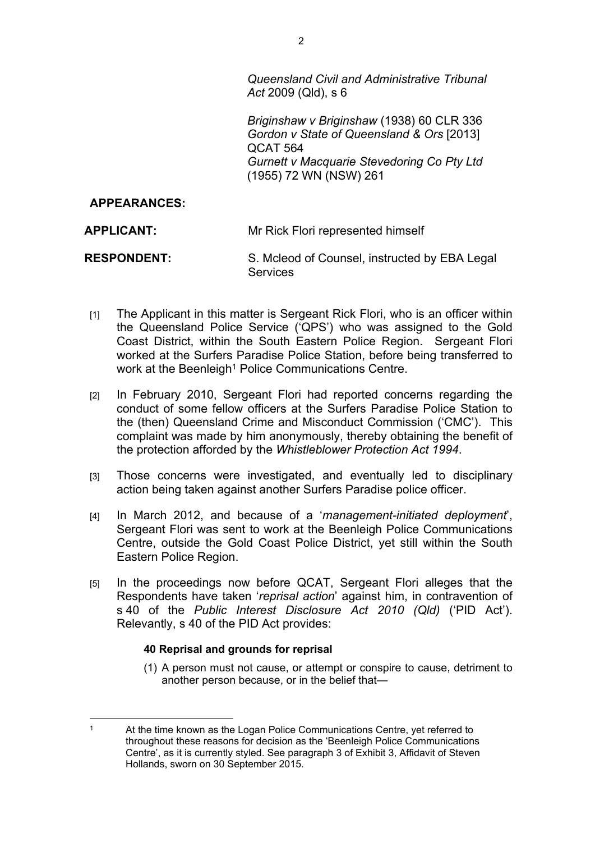*Queensland Civil and Administrative Tribunal Act* 2009 (Qld), s 6

*Briginshaw v Briginshaw* (1938) 60 CLR 336 *Gordon v State of Queensland & Ors* [2013] QCAT 564 *Gurnett v Macquarie Stevedoring Co Pty Ltd*  (1955) 72 WN (NSW) 261

### **APPEARANCES:**

| APPLICANT:         | Mr Rick Flori represented himself                                |
|--------------------|------------------------------------------------------------------|
| <b>RESPONDENT:</b> | S. Mcleod of Counsel, instructed by EBA Legal<br><b>Services</b> |

- [1] The Applicant in this matter is Sergeant Rick Flori, who is an officer within the Queensland Police Service ('QPS') who was assigned to the Gold Coast District, within the South Eastern Police Region. Sergeant Flori worked at the Surfers Paradise Police Station, before being transferred to work at the Beenleigh<sup>1</sup> Police Communications Centre.
- [2] In February 2010, Sergeant Flori had reported concerns regarding the conduct of some fellow officers at the Surfers Paradise Police Station to the (then) Queensland Crime and Misconduct Commission ('CMC'). This complaint was made by him anonymously, thereby obtaining the benefit of the protection afforded by the *Whistleblower Protection Act 1994*.
- [3] Those concerns were investigated, and eventually led to disciplinary action being taken against another Surfers Paradise police officer.
- [4] In March 2012, and because of a '*management-initiated deployment*', Sergeant Flori was sent to work at the Beenleigh Police Communications Centre, outside the Gold Coast Police District, yet still within the South Eastern Police Region.
- [5] In the proceedings now before QCAT, Sergeant Flori alleges that the Respondents have taken '*reprisal action*' against him, in contravention of s 40 of the *Public Interest Disclosure Act 2010 (Qld)* ('PID Act'). Relevantly, s 40 of the PID Act provides:

#### **40 Reprisal and grounds for reprisal**

(1) A person must not cause, or attempt or conspire to cause, detriment to another person because, or in the belief that—

<sup>1</sup> At the time known as the Logan Police Communications Centre, yet referred to throughout these reasons for decision as the 'Beenleigh Police Communications Centre', as it is currently styled. See paragraph 3 of Exhibit 3, Affidavit of Steven Hollands, sworn on 30 September 2015.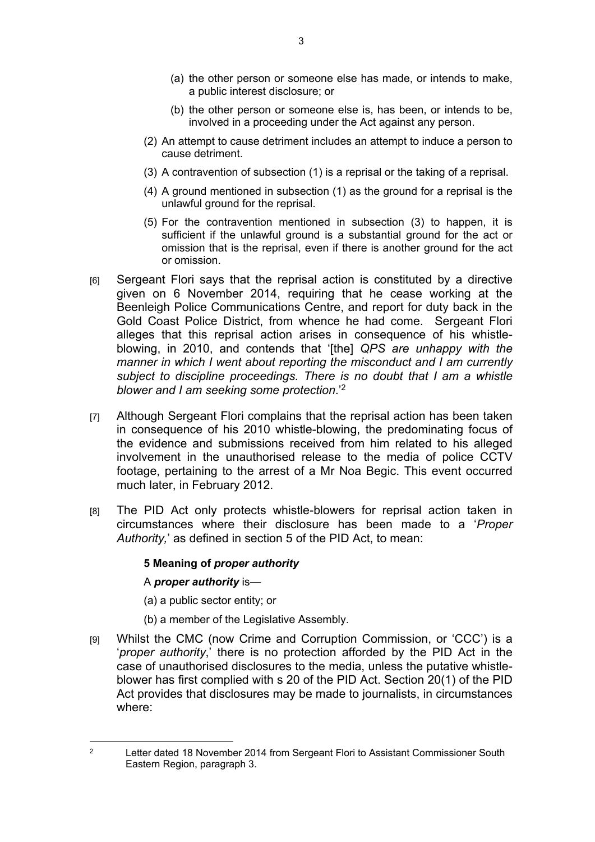- (a) the other person or someone else has made, or intends to make, a public interest disclosure; or
- (b) the other person or someone else is, has been, or intends to be, involved in a proceeding under the Act against any person.
- (2) An attempt to cause detriment includes an attempt to induce a person to cause detriment.
- (3) A contravention of subsection (1) is a reprisal or the taking of a reprisal.
- (4) A ground mentioned in subsection (1) as the ground for a reprisal is the unlawful ground for the reprisal.
- (5) For the contravention mentioned in subsection (3) to happen, it is sufficient if the unlawful ground is a substantial ground for the act or omission that is the reprisal, even if there is another ground for the act or omission.
- [6] Sergeant Flori says that the reprisal action is constituted by a directive given on 6 November 2014, requiring that he cease working at the Beenleigh Police Communications Centre, and report for duty back in the Gold Coast Police District, from whence he had come. Sergeant Flori alleges that this reprisal action arises in consequence of his whistleblowing, in 2010, and contends that '[the] *QPS are unhappy with the manner in which I went about reporting the misconduct and I am currently subject to discipline proceedings. There is no doubt that I am a whistle blower and I am seeking some protection*.'<sup>2</sup>
- [7] Although Sergeant Flori complains that the reprisal action has been taken in consequence of his 2010 whistle-blowing, the predominating focus of the evidence and submissions received from him related to his alleged involvement in the unauthorised release to the media of police CCTV footage, pertaining to the arrest of a Mr Noa Begic. This event occurred much later, in February 2012.
- [8] The PID Act only protects whistle-blowers for reprisal action taken in circumstances where their disclosure has been made to a '*Proper Authority,*' as defined in section 5 of the PID Act, to mean:

#### **5 Meaning of** *proper authority*

#### A *proper authority* is—

(a) a public sector entity; or

- (b) a member of the Legislative Assembly.
- [9] Whilst the CMC (now Crime and Corruption Commission, or 'CCC') is a '*proper authority*,' there is no protection afforded by the PID Act in the case of unauthorised disclosures to the media, unless the putative whistleblower has first complied with s 20 of the PID Act. Section 20(1) of the PID Act provides that disclosures may be made to journalists, in circumstances where:

<sup>2</sup> Letter dated 18 November 2014 from Sergeant Flori to Assistant Commissioner South Eastern Region, paragraph 3.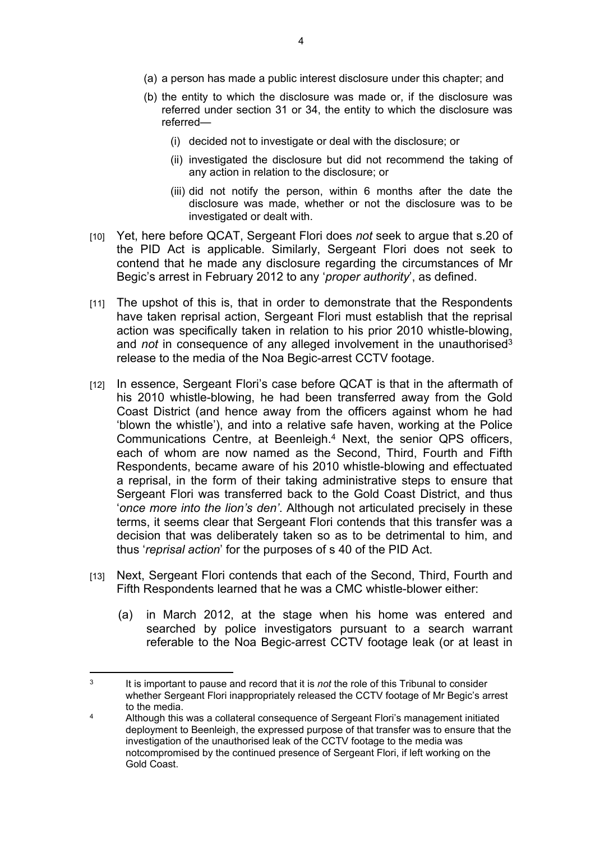- (b) the entity to which the disclosure was made or, if the disclosure was referred under section 31 or 34, the entity to which the disclosure was referred—
	- (i) decided not to investigate or deal with the disclosure; or
	- (ii) investigated the disclosure but did not recommend the taking of any action in relation to the disclosure; or
	- (iii) did not notify the person, within 6 months after the date the disclosure was made, whether or not the disclosure was to be investigated or dealt with.
- [10] Yet, here before QCAT, Sergeant Flori does *not* seek to argue that s.20 of the PID Act is applicable. Similarly, Sergeant Flori does not seek to contend that he made any disclosure regarding the circumstances of Mr Begic's arrest in February 2012 to any '*proper authority*', as defined.
- [11] The upshot of this is, that in order to demonstrate that the Respondents have taken reprisal action, Sergeant Flori must establish that the reprisal action was specifically taken in relation to his prior 2010 whistle-blowing, and *not* in consequence of any alleged involvement in the unauthorised<sup>3</sup> release to the media of the Noa Begic-arrest CCTV footage.
- [12] In essence, Sergeant Flori's case before QCAT is that in the aftermath of his 2010 whistle-blowing, he had been transferred away from the Gold Coast District (and hence away from the officers against whom he had 'blown the whistle'), and into a relative safe haven, working at the Police Communications Centre, at Beenleigh.<sup>4</sup> Next, the senior QPS officers, each of whom are now named as the Second, Third, Fourth and Fifth Respondents, became aware of his 2010 whistle-blowing and effectuated a reprisal, in the form of their taking administrative steps to ensure that Sergeant Flori was transferred back to the Gold Coast District, and thus '*once more into the lion's den'*. Although not articulated precisely in these terms, it seems clear that Sergeant Flori contends that this transfer was a decision that was deliberately taken so as to be detrimental to him, and thus '*reprisal action*' for the purposes of s 40 of the PID Act.
- [13] Next, Sergeant Flori contends that each of the Second, Third, Fourth and Fifth Respondents learned that he was a CMC whistle-blower either:
	- (a) in March 2012, at the stage when his home was entered and searched by police investigators pursuant to a search warrant referable to the Noa Begic-arrest CCTV footage leak (or at least in

<sup>3</sup> It is important to pause and record that it is *not* the role of this Tribunal to consider whether Sergeant Flori inappropriately released the CCTV footage of Mr Begic's arrest to the media.

<sup>4</sup> Although this was a collateral consequence of Sergeant Flori's management initiated deployment to Beenleigh, the expressed purpose of that transfer was to ensure that the investigation of the unauthorised leak of the CCTV footage to the media was notcompromised by the continued presence of Sergeant Flori, if left working on the Gold Coast.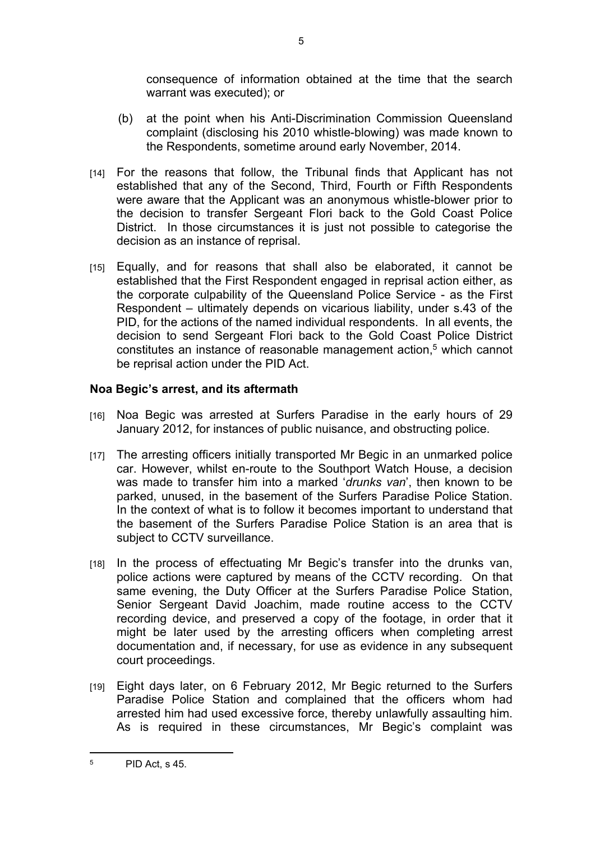consequence of information obtained at the time that the search warrant was executed); or

- (b) at the point when his Anti-Discrimination Commission Queensland complaint (disclosing his 2010 whistle-blowing) was made known to the Respondents, sometime around early November, 2014.
- [14] For the reasons that follow, the Tribunal finds that Applicant has not established that any of the Second, Third, Fourth or Fifth Respondents were aware that the Applicant was an anonymous whistle-blower prior to the decision to transfer Sergeant Flori back to the Gold Coast Police District. In those circumstances it is just not possible to categorise the decision as an instance of reprisal.
- [15] Equally, and for reasons that shall also be elaborated, it cannot be established that the First Respondent engaged in reprisal action either, as the corporate culpability of the Queensland Police Service - as the First Respondent – ultimately depends on vicarious liability, under s.43 of the PID, for the actions of the named individual respondents. In all events, the decision to send Sergeant Flori back to the Gold Coast Police District constitutes an instance of reasonable management action,<sup>5</sup> which cannot be reprisal action under the PID Act.

## **Noa Begic's arrest, and its aftermath**

- [16] Noa Begic was arrested at Surfers Paradise in the early hours of 29 January 2012, for instances of public nuisance, and obstructing police.
- [17] The arresting officers initially transported Mr Begic in an unmarked police car. However, whilst en-route to the Southport Watch House, a decision was made to transfer him into a marked '*drunks van*', then known to be parked, unused, in the basement of the Surfers Paradise Police Station. In the context of what is to follow it becomes important to understand that the basement of the Surfers Paradise Police Station is an area that is subject to CCTV surveillance.
- [18] In the process of effectuating Mr Begic's transfer into the drunks van, police actions were captured by means of the CCTV recording. On that same evening, the Duty Officer at the Surfers Paradise Police Station, Senior Sergeant David Joachim, made routine access to the CCTV recording device, and preserved a copy of the footage, in order that it might be later used by the arresting officers when completing arrest documentation and, if necessary, for use as evidence in any subsequent court proceedings.
- [19] Eight days later, on 6 February 2012, Mr Begic returned to the Surfers Paradise Police Station and complained that the officers whom had arrested him had used excessive force, thereby unlawfully assaulting him. As is required in these circumstances, Mr Begic's complaint was

5

<sup>5</sup> PID Act, s 45.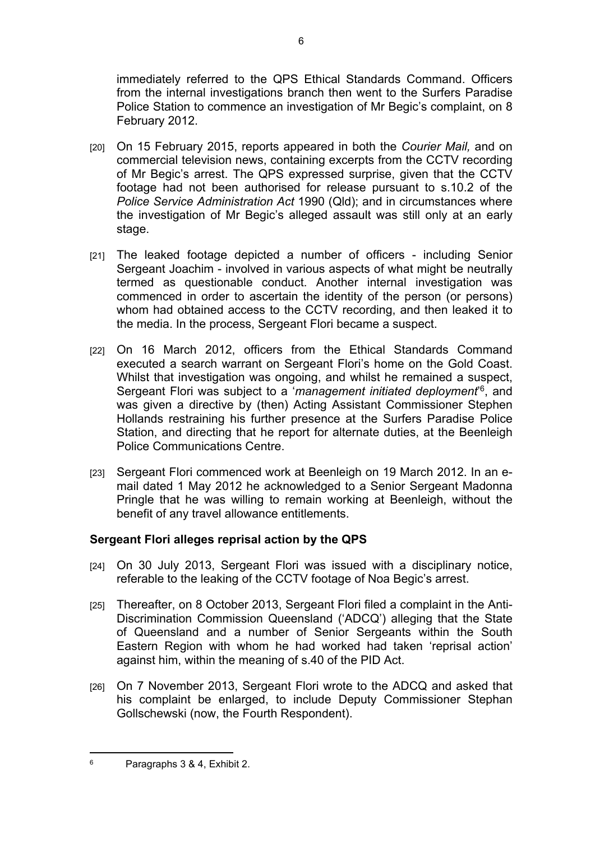immediately referred to the QPS Ethical Standards Command. Officers from the internal investigations branch then went to the Surfers Paradise Police Station to commence an investigation of Mr Begic's complaint, on 8 February 2012.

- [20] On 15 February 2015, reports appeared in both the *Courier Mail,* and on commercial television news, containing excerpts from the CCTV recording of Mr Begic's arrest. The QPS expressed surprise, given that the CCTV footage had not been authorised for release pursuant to s.10.2 of the *Police Service Administration Act* 1990 (Qld); and in circumstances where the investigation of Mr Begic's alleged assault was still only at an early stage.
- [21] The leaked footage depicted a number of officers including Senior Sergeant Joachim - involved in various aspects of what might be neutrally termed as questionable conduct. Another internal investigation was commenced in order to ascertain the identity of the person (or persons) whom had obtained access to the CCTV recording, and then leaked it to the media. In the process, Sergeant Flori became a suspect.
- [22] On 16 March 2012, officers from the Ethical Standards Command executed a search warrant on Sergeant Flori's home on the Gold Coast. Whilst that investigation was ongoing, and whilst he remained a suspect, Sergeant Flori was subject to a 'management initiated deployment<sup>'6</sup>, and was given a directive by (then) Acting Assistant Commissioner Stephen Hollands restraining his further presence at the Surfers Paradise Police Station, and directing that he report for alternate duties, at the Beenleigh Police Communications Centre.
- [23] Sergeant Flori commenced work at Beenleigh on 19 March 2012. In an email dated 1 May 2012 he acknowledged to a Senior Sergeant Madonna Pringle that he was willing to remain working at Beenleigh, without the benefit of any travel allowance entitlements.

# **Sergeant Flori alleges reprisal action by the QPS**

- [24] On 30 July 2013, Sergeant Flori was issued with a disciplinary notice, referable to the leaking of the CCTV footage of Noa Begic's arrest.
- [25] Thereafter, on 8 October 2013, Sergeant Flori filed a complaint in the Anti-Discrimination Commission Queensland ('ADCQ') alleging that the State of Queensland and a number of Senior Sergeants within the South Eastern Region with whom he had worked had taken 'reprisal action' against him, within the meaning of s.40 of the PID Act.
- [26] On 7 November 2013, Sergeant Flori wrote to the ADCQ and asked that his complaint be enlarged, to include Deputy Commissioner Stephan Gollschewski (now, the Fourth Respondent).

<sup>6</sup> Paragraphs 3 & 4, Exhibit 2.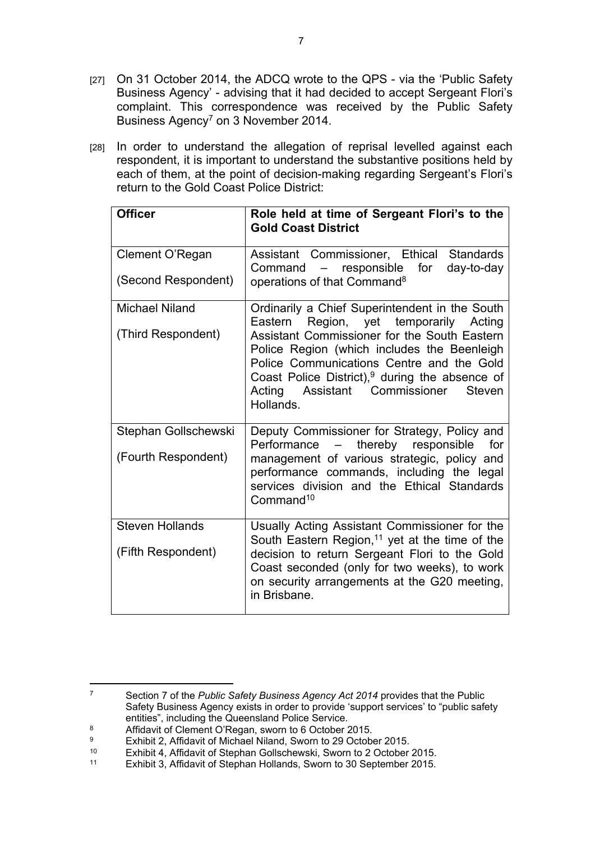- [27] On 31 October 2014, the ADCQ wrote to the QPS via the 'Public Safety' Business Agency' - advising that it had decided to accept Sergeant Flori's complaint. This correspondence was received by the Public Safety Business Agency<sup>7</sup> on 3 November 2014.
- [28] In order to understand the allegation of reprisal levelled against each respondent, it is important to understand the substantive positions held by each of them, at the point of decision-making regarding Sergeant's Flori's return to the Gold Coast Police District:

| <b>Officer</b>         | Role held at time of Sergeant Flori's to the<br><b>Gold Coast District</b>                                                                                                                                                                                      |
|------------------------|-----------------------------------------------------------------------------------------------------------------------------------------------------------------------------------------------------------------------------------------------------------------|
| Clement O'Regan        | Assistant Commissioner, Ethical Standards<br>responsible<br>for<br>Command -<br>day-to-day                                                                                                                                                                      |
| (Second Respondent)    | operations of that Command <sup>8</sup>                                                                                                                                                                                                                         |
| <b>Michael Niland</b>  | Ordinarily a Chief Superintendent in the South<br>Region, yet temporarily Acting<br>Eastern                                                                                                                                                                     |
| (Third Respondent)     | Assistant Commissioner for the South Eastern<br>Police Region (which includes the Beenleigh<br>Police Communications Centre and the Gold<br>Coast Police District), $9$ during the absence of<br>Acting<br>Assistant Commissioner<br><b>Steven</b><br>Hollands. |
| Stephan Gollschewski   | Deputy Commissioner for Strategy, Policy and<br>Performance -<br>thereby<br>responsible<br>for                                                                                                                                                                  |
| (Fourth Respondent)    | management of various strategic, policy and<br>performance commands, including the legal<br>services division and the Ethical Standards<br>Command <sup>10</sup>                                                                                                |
| <b>Steven Hollands</b> | Usually Acting Assistant Commissioner for the<br>South Eastern Region, <sup>11</sup> yet at the time of the                                                                                                                                                     |
| (Fifth Respondent)     | decision to return Sergeant Flori to the Gold<br>Coast seconded (only for two weeks), to work<br>on security arrangements at the G20 meeting,<br>in Brisbane.                                                                                                   |

- 8 Affidavit of Clement O'Regan, sworn to 6 October 2015.
- 9 Exhibit 2, Affidavit of Michael Niland, Sworn to 29 October 2015.<br>
Exhibit 4, Affidavit of Stephan Gollschewski, Sworn to 2 October

<sup>7</sup> Section 7 of the *Public Safety Business Agency Act 2014* provides that the Public Safety Business Agency exists in order to provide 'support services' to "public safety entities", including the Queensland Police Service.

<sup>10</sup> Exhibit 4, Affidavit of Stephan Gollschewski, Sworn to 2 October 2015.

Exhibit 3, Affidavit of Stephan Hollands, Sworn to 30 September 2015.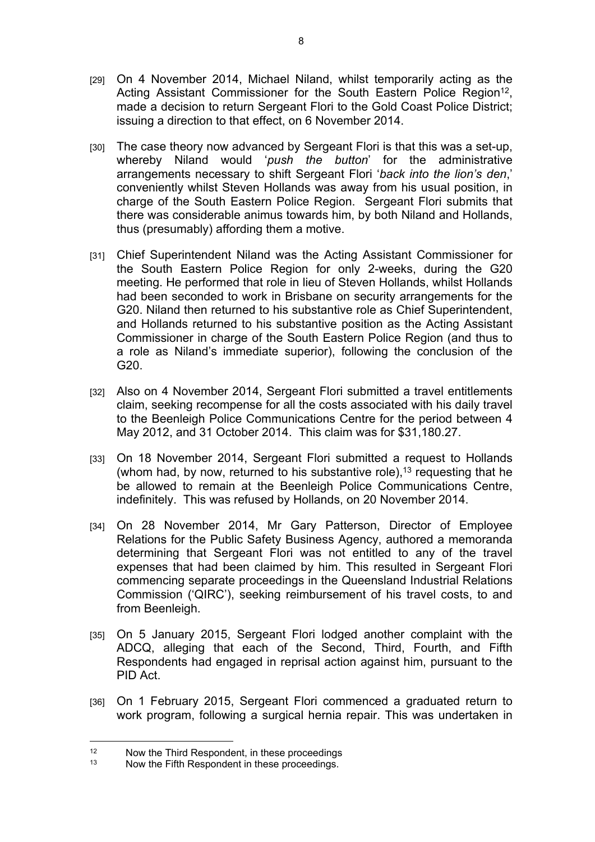- [29] On 4 November 2014, Michael Niland, whilst temporarily acting as the Acting Assistant Commissioner for the South Eastern Police Region<sup>12</sup>, made a decision to return Sergeant Flori to the Gold Coast Police District; issuing a direction to that effect, on 6 November 2014.
- [30] The case theory now advanced by Sergeant Flori is that this was a set-up, whereby Niland would '*push the button*' for the administrative arrangements necessary to shift Sergeant Flori '*back into the lion's den*,' conveniently whilst Steven Hollands was away from his usual position, in charge of the South Eastern Police Region. Sergeant Flori submits that there was considerable animus towards him, by both Niland and Hollands, thus (presumably) affording them a motive.
- [31] Chief Superintendent Niland was the Acting Assistant Commissioner for the South Eastern Police Region for only 2-weeks, during the G20 meeting. He performed that role in lieu of Steven Hollands, whilst Hollands had been seconded to work in Brisbane on security arrangements for the G20. Niland then returned to his substantive role as Chief Superintendent, and Hollands returned to his substantive position as the Acting Assistant Commissioner in charge of the South Eastern Police Region (and thus to a role as Niland's immediate superior), following the conclusion of the G20.
- [32] Also on 4 November 2014, Sergeant Flori submitted a travel entitlements claim, seeking recompense for all the costs associated with his daily travel to the Beenleigh Police Communications Centre for the period between 4 May 2012, and 31 October 2014. This claim was for \$31,180.27.
- [33] On 18 November 2014, Sergeant Flori submitted a request to Hollands (whom had, by now, returned to his substantive role),<sup>13</sup> requesting that he be allowed to remain at the Beenleigh Police Communications Centre, indefinitely. This was refused by Hollands, on 20 November 2014.
- [34] On 28 November 2014, Mr Gary Patterson, Director of Employee Relations for the Public Safety Business Agency, authored a memoranda determining that Sergeant Flori was not entitled to any of the travel expenses that had been claimed by him. This resulted in Sergeant Flori commencing separate proceedings in the Queensland Industrial Relations Commission ('QIRC'), seeking reimbursement of his travel costs, to and from Beenleigh.
- [35] On 5 January 2015, Sergeant Flori lodged another complaint with the ADCQ, alleging that each of the Second, Third, Fourth, and Fifth Respondents had engaged in reprisal action against him, pursuant to the PID Act.
- [36] On 1 February 2015, Sergeant Flori commenced a graduated return to work program, following a surgical hernia repair. This was undertaken in

<sup>&</sup>lt;sup>12</sup> Now the Third Respondent, in these proceedings<br><sup>13</sup> Now the Fifth Respondent in these proceedings

Now the Fifth Respondent in these proceedings.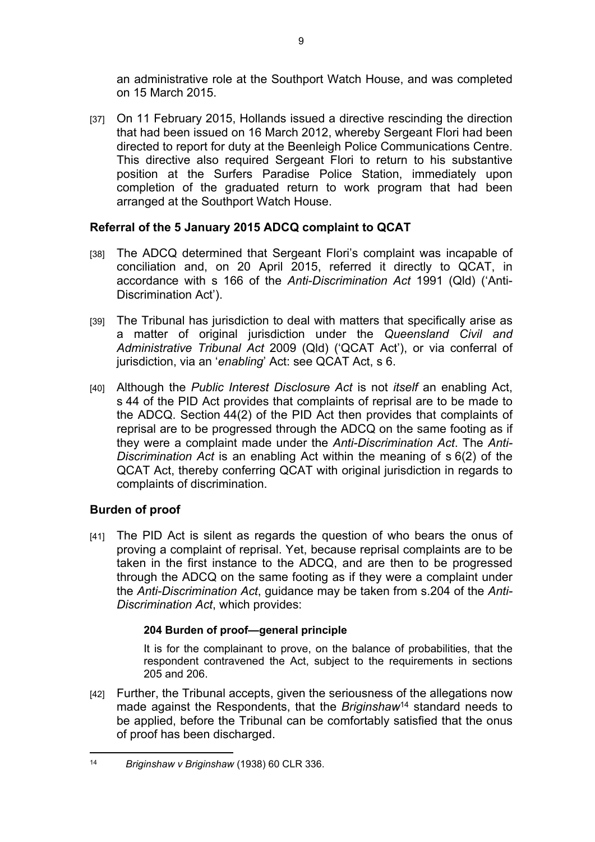an administrative role at the Southport Watch House, and was completed on 15 March 2015.

[37] On 11 February 2015, Hollands issued a directive rescinding the direction that had been issued on 16 March 2012, whereby Sergeant Flori had been directed to report for duty at the Beenleigh Police Communications Centre. This directive also required Sergeant Flori to return to his substantive position at the Surfers Paradise Police Station, immediately upon completion of the graduated return to work program that had been arranged at the Southport Watch House.

## **Referral of the 5 January 2015 ADCQ complaint to QCAT**

- [38] The ADCQ determined that Sergeant Flori's complaint was incapable of conciliation and, on 20 April 2015, referred it directly to QCAT, in accordance with s 166 of the *Anti-Discrimination Act* 1991 (Qld) ('Anti-Discrimination Act').
- [39] The Tribunal has jurisdiction to deal with matters that specifically arise as a matter of original jurisdiction under the *Queensland Civil and Administrative Tribunal Act* 2009 (Qld) ('QCAT Act'), or via conferral of jurisdiction, via an '*enabling*' Act: see QCAT Act, s 6.
- [40] Although the *Public Interest Disclosure Act* is not *itself* an enabling Act, s 44 of the PID Act provides that complaints of reprisal are to be made to the ADCQ. Section 44(2) of the PID Act then provides that complaints of reprisal are to be progressed through the ADCQ on the same footing as if they were a complaint made under the *Anti-Discrimination Act*. The *Anti-Discrimination Act* is an enabling Act within the meaning of s 6(2) of the QCAT Act, thereby conferring QCAT with original jurisdiction in regards to complaints of discrimination.

# **Burden of proof**

[41] The PID Act is silent as regards the question of who bears the onus of proving a complaint of reprisal. Yet, because reprisal complaints are to be taken in the first instance to the ADCQ, and are then to be progressed through the ADCQ on the same footing as if they were a complaint under the *Anti-Discrimination Act*, guidance may be taken from s.204 of the *Anti-Discrimination Act*, which provides:

### **204 Burden of proof—general principle**

It is for the complainant to prove, on the balance of probabilities, that the respondent contravened the Act, subject to the requirements in sections 205 and 206.

[42] Further, the Tribunal accepts, given the seriousness of the allegations now made against the Respondents, that the *Briginshaw*<sup>14</sup> standard needs to be applied, before the Tribunal can be comfortably satisfied that the onus of proof has been discharged.

<sup>14</sup> *Briginshaw v Briginshaw* (1938) 60 CLR 336.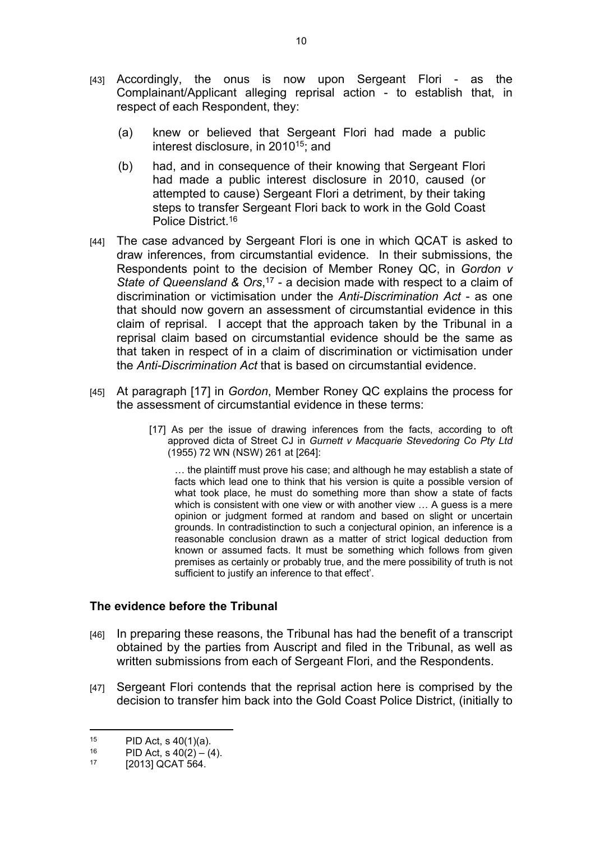- [43] Accordingly, the onus is now upon Sergeant Flori as the Complainant/Applicant alleging reprisal action - to establish that, in respect of each Respondent, they:
	- (a) knew or believed that Sergeant Flori had made a public interest disclosure, in 2010<sup>15</sup>; and
	- (b) had, and in consequence of their knowing that Sergeant Flori had made a public interest disclosure in 2010, caused (or attempted to cause) Sergeant Flori a detriment, by their taking steps to transfer Sergeant Flori back to work in the Gold Coast Police District.<sup>16</sup>
- [44] The case advanced by Sergeant Flori is one in which QCAT is asked to draw inferences, from circumstantial evidence. In their submissions, the Respondents point to the decision of Member Roney QC, in *Gordon v State of Queensland & Ors*, <sup>17</sup> - a decision made with respect to a claim of discrimination or victimisation under the *Anti-Discrimination Act* - as one that should now govern an assessment of circumstantial evidence in this claim of reprisal. I accept that the approach taken by the Tribunal in a reprisal claim based on circumstantial evidence should be the same as that taken in respect of in a claim of discrimination or victimisation under the *Anti-Discrimination Act* that is based on circumstantial evidence.
- [45] At paragraph [17] in *Gordon*, Member Roney QC explains the process for the assessment of circumstantial evidence in these terms:
	- [17] As per the issue of drawing inferences from the facts, according to oft approved dicta of Street CJ in *Gurnett v Macquarie Stevedoring Co Pty Ltd*  (1955) 72 WN (NSW) 261 at [264]:

… the plaintiff must prove his case; and although he may establish a state of facts which lead one to think that his version is quite a possible version of what took place, he must do something more than show a state of facts which is consistent with one view or with another view ... A guess is a mere opinion or judgment formed at random and based on slight or uncertain grounds. In contradistinction to such a conjectural opinion, an inference is a reasonable conclusion drawn as a matter of strict logical deduction from known or assumed facts. It must be something which follows from given premises as certainly or probably true, and the mere possibility of truth is not sufficient to justify an inference to that effect'.

### **The evidence before the Tribunal**

- [46] In preparing these reasons, the Tribunal has had the benefit of a transcript obtained by the parties from Auscript and filed in the Tribunal, as well as written submissions from each of Sergeant Flori, and the Respondents.
- [47] Sergeant Flori contends that the reprisal action here is comprised by the decision to transfer him back into the Gold Coast Police District, (initially to

<sup>&</sup>lt;sup>15</sup> PID Act, s 40(1)(a).<br><sup>16</sup> PID Act s 40(2) – (4)

<sup>&</sup>lt;sup>16</sup> PID Act, s  $40(2) - (4)$ .<br><sup>17</sup> 120131 OCAT 564

<sup>[2013]</sup> QCAT 564.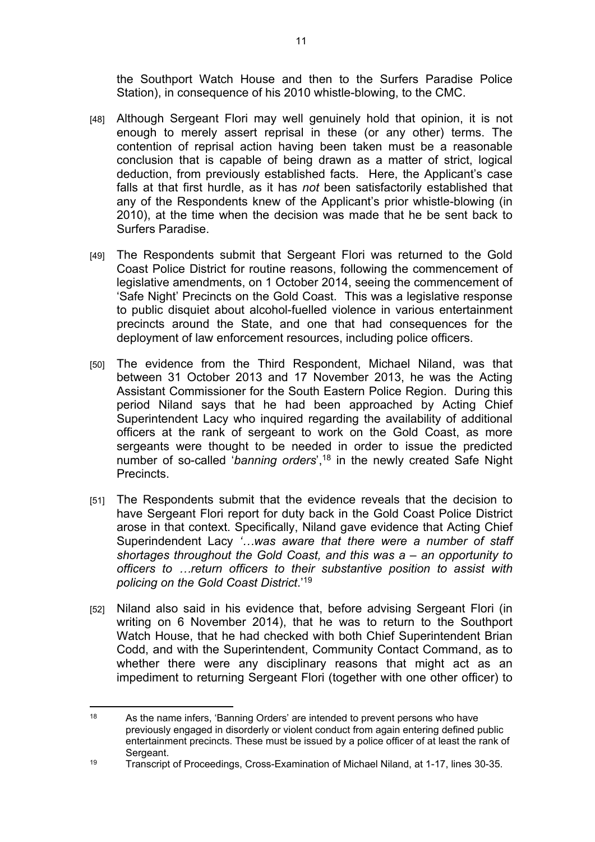the Southport Watch House and then to the Surfers Paradise Police Station), in consequence of his 2010 whistle-blowing, to the CMC.

- [48] Although Sergeant Flori may well genuinely hold that opinion, it is not enough to merely assert reprisal in these (or any other) terms. The contention of reprisal action having been taken must be a reasonable conclusion that is capable of being drawn as a matter of strict, logical deduction, from previously established facts. Here, the Applicant's case falls at that first hurdle, as it has *not* been satisfactorily established that any of the Respondents knew of the Applicant's prior whistle-blowing (in 2010), at the time when the decision was made that he be sent back to Surfers Paradise.
- [49] The Respondents submit that Sergeant Flori was returned to the Gold Coast Police District for routine reasons, following the commencement of legislative amendments, on 1 October 2014, seeing the commencement of 'Safe Night' Precincts on the Gold Coast. This was a legislative response to public disquiet about alcohol-fuelled violence in various entertainment precincts around the State, and one that had consequences for the deployment of law enforcement resources, including police officers.
- [50] The evidence from the Third Respondent, Michael Niland, was that between 31 October 2013 and 17 November 2013, he was the Acting Assistant Commissioner for the South Eastern Police Region. During this period Niland says that he had been approached by Acting Chief Superintendent Lacy who inquired regarding the availability of additional officers at the rank of sergeant to work on the Gold Coast, as more sergeants were thought to be needed in order to issue the predicted number of so-called '*banning orders*',<sup>18</sup> in the newly created Safe Night Precincts.
- [51] The Respondents submit that the evidence reveals that the decision to have Sergeant Flori report for duty back in the Gold Coast Police District arose in that context. Specifically, Niland gave evidence that Acting Chief Superindendent Lacy *'…was aware that there were a number of staff shortages throughout the Gold Coast, and this was a – an opportunity to officers to …return officers to their substantive position to assist with policing on the Gold Coast District*.'<sup>19</sup>
- [52] Niland also said in his evidence that, before advising Sergeant Flori (in writing on 6 November 2014), that he was to return to the Southport Watch House, that he had checked with both Chief Superintendent Brian Codd, and with the Superintendent, Community Contact Command, as to whether there were any disciplinary reasons that might act as an impediment to returning Sergeant Flori (together with one other officer) to

 $18$  As the name infers, 'Banning Orders' are intended to prevent persons who have previously engaged in disorderly or violent conduct from again entering defined public entertainment precincts. These must be issued by a police officer of at least the rank of Sergeant.

<sup>19</sup> Transcript of Proceedings, Cross-Examination of Michael Niland, at 1-17, lines 30-35.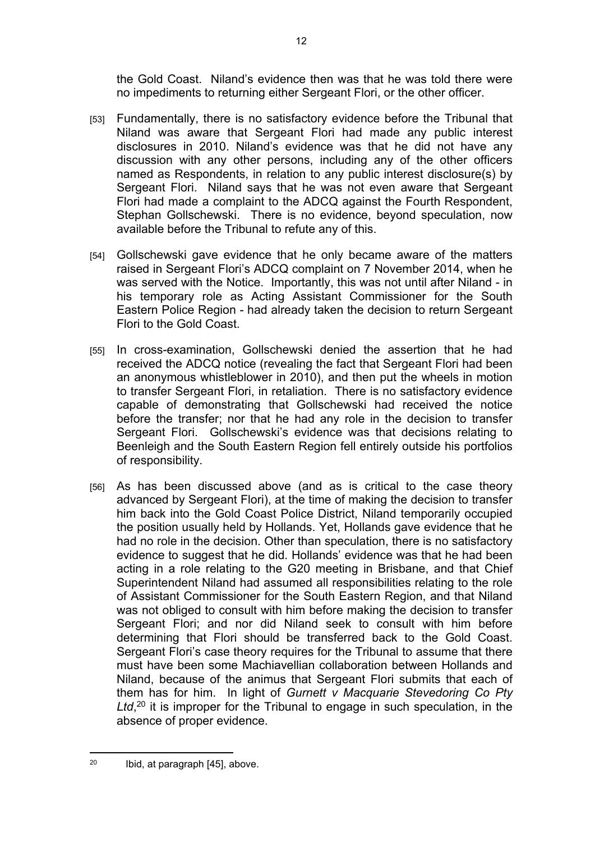the Gold Coast. Niland's evidence then was that he was told there were no impediments to returning either Sergeant Flori, or the other officer.

- [53] Fundamentally, there is no satisfactory evidence before the Tribunal that Niland was aware that Sergeant Flori had made any public interest disclosures in 2010. Niland's evidence was that he did not have any discussion with any other persons, including any of the other officers named as Respondents, in relation to any public interest disclosure(s) by Sergeant Flori. Niland says that he was not even aware that Sergeant Flori had made a complaint to the ADCQ against the Fourth Respondent, Stephan Gollschewski. There is no evidence, beyond speculation, now available before the Tribunal to refute any of this.
- [54] Gollschewski gave evidence that he only became aware of the matters raised in Sergeant Flori's ADCQ complaint on 7 November 2014, when he was served with the Notice. Importantly, this was not until after Niland - in his temporary role as Acting Assistant Commissioner for the South Eastern Police Region - had already taken the decision to return Sergeant Flori to the Gold Coast.
- [55] In cross-examination, Gollschewski denied the assertion that he had received the ADCQ notice (revealing the fact that Sergeant Flori had been an anonymous whistleblower in 2010), and then put the wheels in motion to transfer Sergeant Flori, in retaliation. There is no satisfactory evidence capable of demonstrating that Gollschewski had received the notice before the transfer; nor that he had any role in the decision to transfer Sergeant Flori. Gollschewski's evidence was that decisions relating to Beenleigh and the South Eastern Region fell entirely outside his portfolios of responsibility.
- [56] As has been discussed above (and as is critical to the case theory advanced by Sergeant Flori), at the time of making the decision to transfer him back into the Gold Coast Police District, Niland temporarily occupied the position usually held by Hollands. Yet, Hollands gave evidence that he had no role in the decision. Other than speculation, there is no satisfactory evidence to suggest that he did. Hollands' evidence was that he had been acting in a role relating to the G20 meeting in Brisbane, and that Chief Superintendent Niland had assumed all responsibilities relating to the role of Assistant Commissioner for the South Eastern Region, and that Niland was not obliged to consult with him before making the decision to transfer Sergeant Flori; and nor did Niland seek to consult with him before determining that Flori should be transferred back to the Gold Coast. Sergeant Flori's case theory requires for the Tribunal to assume that there must have been some Machiavellian collaboration between Hollands and Niland, because of the animus that Sergeant Flori submits that each of them has for him. In light of *Gurnett v Macquarie Stevedoring Co Pty*  Ltd,<sup>20</sup> it is improper for the Tribunal to engage in such speculation, in the absence of proper evidence.

<sup>12</sup>

<sup>20</sup> Ibid, at paragraph [45], above.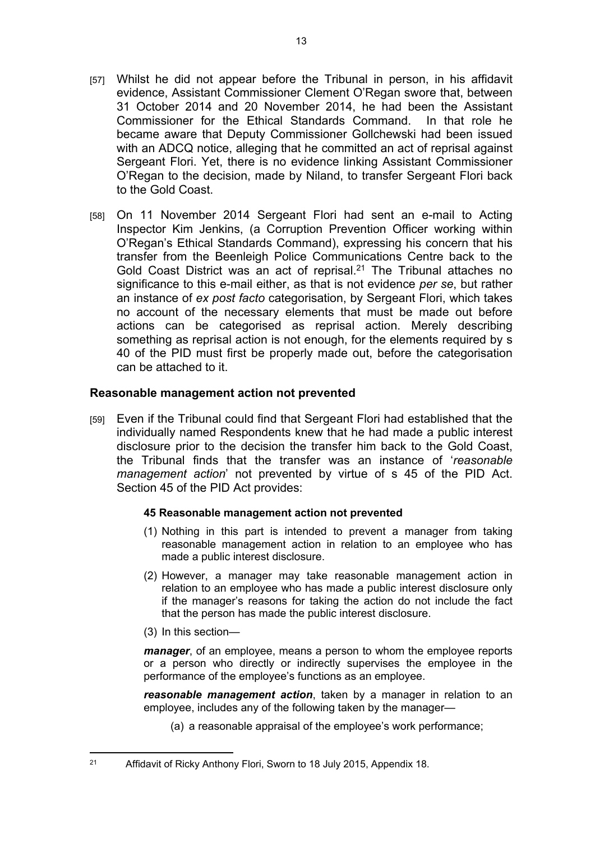- [57] Whilst he did not appear before the Tribunal in person, in his affidavit evidence, Assistant Commissioner Clement O'Regan swore that, between 31 October 2014 and 20 November 2014, he had been the Assistant Commissioner for the Ethical Standards Command. In that role he became aware that Deputy Commissioner Gollchewski had been issued with an ADCQ notice, alleging that he committed an act of reprisal against Sergeant Flori. Yet, there is no evidence linking Assistant Commissioner O'Regan to the decision, made by Niland, to transfer Sergeant Flori back to the Gold Coast.
- [58] On 11 November 2014 Sergeant Flori had sent an e-mail to Acting Inspector Kim Jenkins, (a Corruption Prevention Officer working within O'Regan's Ethical Standards Command), expressing his concern that his transfer from the Beenleigh Police Communications Centre back to the Gold Coast District was an act of reprisal.<sup>21</sup> The Tribunal attaches no significance to this e-mail either, as that is not evidence *per se*, but rather an instance of *ex post facto* categorisation, by Sergeant Flori, which takes no account of the necessary elements that must be made out before actions can be categorised as reprisal action. Merely describing something as reprisal action is not enough, for the elements required by s 40 of the PID must first be properly made out, before the categorisation can be attached to it.

### **Reasonable management action not prevented**

[59] Even if the Tribunal could find that Sergeant Flori had established that the individually named Respondents knew that he had made a public interest disclosure prior to the decision the transfer him back to the Gold Coast, the Tribunal finds that the transfer was an instance of '*reasonable management action*' not prevented by virtue of s 45 of the PID Act. Section 45 of the PID Act provides:

#### **45 Reasonable management action not prevented**

- (1) Nothing in this part is intended to prevent a manager from taking reasonable management action in relation to an employee who has made a public interest disclosure.
- (2) However, a manager may take reasonable management action in relation to an employee who has made a public interest disclosure only if the manager's reasons for taking the action do not include the fact that the person has made the public interest disclosure.
- (3) In this section—

*manager*, of an employee, means a person to whom the employee reports or a person who directly or indirectly supervises the employee in the performance of the employee's functions as an employee.

*reasonable management action*, taken by a manager in relation to an employee, includes any of the following taken by the manager—

(a) a reasonable appraisal of the employee's work performance;

<sup>&</sup>lt;sup>21</sup> Affidavit of Ricky Anthony Flori, Sworn to 18 July 2015, Appendix 18.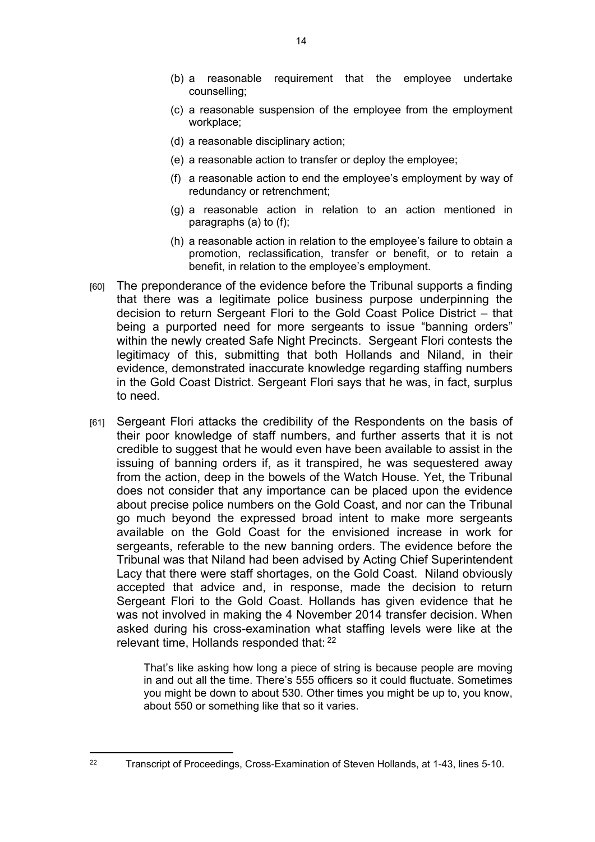- (b) a reasonable requirement that the employee undertake counselling;
- (c) a reasonable suspension of the employee from the employment workplace;
- (d) a reasonable disciplinary action;
- (e) a reasonable action to transfer or deploy the employee;
- (f) a reasonable action to end the employee's employment by way of redundancy or retrenchment;
- (g) a reasonable action in relation to an action mentioned in paragraphs (a) to (f);
- (h) a reasonable action in relation to the employee's failure to obtain a promotion, reclassification, transfer or benefit, or to retain a benefit, in relation to the employee's employment.
- [60] The preponderance of the evidence before the Tribunal supports a finding that there was a legitimate police business purpose underpinning the decision to return Sergeant Flori to the Gold Coast Police District – that being a purported need for more sergeants to issue "banning orders" within the newly created Safe Night Precincts. Sergeant Flori contests the legitimacy of this, submitting that both Hollands and Niland, in their evidence, demonstrated inaccurate knowledge regarding staffing numbers in the Gold Coast District. Sergeant Flori says that he was, in fact, surplus to need.
- [61] Sergeant Flori attacks the credibility of the Respondents on the basis of their poor knowledge of staff numbers, and further asserts that it is not credible to suggest that he would even have been available to assist in the issuing of banning orders if, as it transpired, he was sequestered away from the action, deep in the bowels of the Watch House. Yet, the Tribunal does not consider that any importance can be placed upon the evidence about precise police numbers on the Gold Coast, and nor can the Tribunal go much beyond the expressed broad intent to make more sergeants available on the Gold Coast for the envisioned increase in work for sergeants, referable to the new banning orders. The evidence before the Tribunal was that Niland had been advised by Acting Chief Superintendent Lacy that there were staff shortages, on the Gold Coast. Niland obviously accepted that advice and, in response, made the decision to return Sergeant Flori to the Gold Coast. Hollands has given evidence that he was not involved in making the 4 November 2014 transfer decision. When asked during his cross-examination what staffing levels were like at the relevant time, Hollands responded that: <sup>22</sup>

That's like asking how long a piece of string is because people are moving in and out all the time. There's 555 officers so it could fluctuate. Sometimes you might be down to about 530. Other times you might be up to, you know, about 550 or something like that so it varies.

<sup>&</sup>lt;sup>22</sup> Transcript of Proceedings, Cross-Examination of Steven Hollands, at 1-43, lines 5-10.